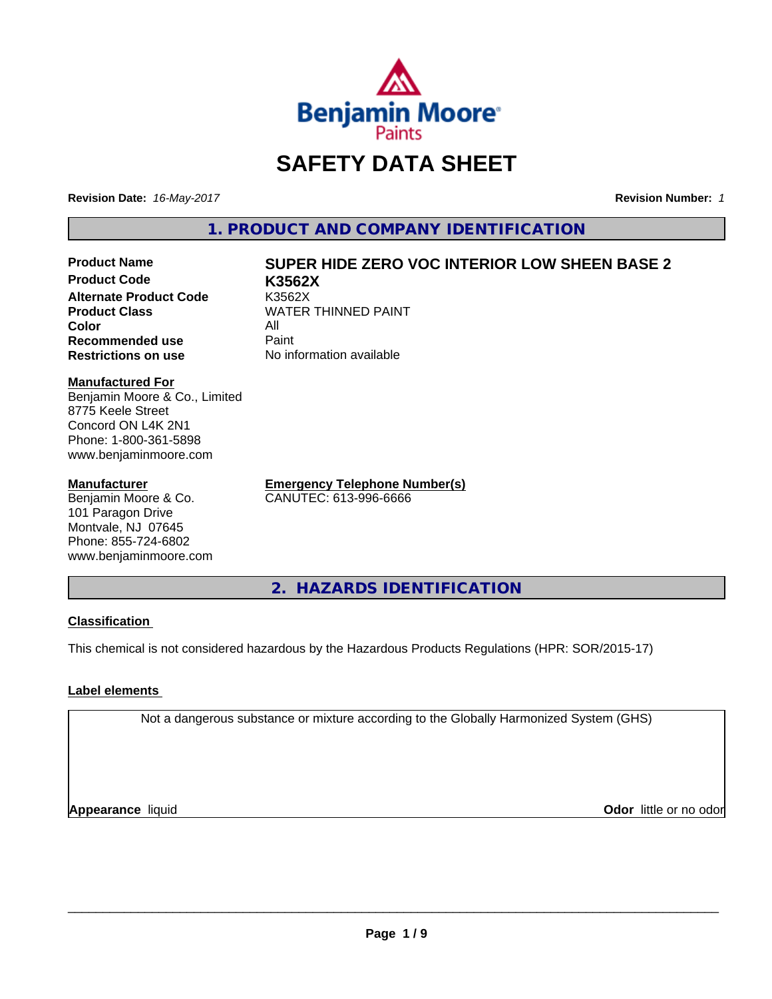

# **SAFETY DATA SHEET**

**Revision Date:** *16-May-2017* **Revision Number:** *1*

**1. PRODUCT AND COMPANY IDENTIFICATION**

**Product Code K3562X Alternate Product Code** K3562X<br> **Product Class** WATER **Color** All<br> **Recommended use** Paint **Recommended use**<br>Restrictions on use

# **Product Name SUPER HIDE ZERO VOC INTERIOR LOW SHEEN BASE 2**

**WATER THINNED PAINT No information available** 

#### **Manufactured For**

Benjamin Moore & Co., Limited 8775 Keele Street Concord ON L4K 2N1 Phone: 1-800-361-5898 www.benjaminmoore.com

#### **Manufacturer**

Benjamin Moore & Co. 101 Paragon Drive Montvale, NJ 07645 Phone: 855-724-6802 www.benjaminmoore.com

**Emergency Telephone Number(s)** CANUTEC: 613-996-6666

**2. HAZARDS IDENTIFICATION**

#### **Classification**

This chemical is not considered hazardous by the Hazardous Products Regulations (HPR: SOR/2015-17)

#### **Label elements**

Not a dangerous substance or mixture according to the Globally Harmonized System (GHS)

**Appearance** liquid

**Odor** little or no odor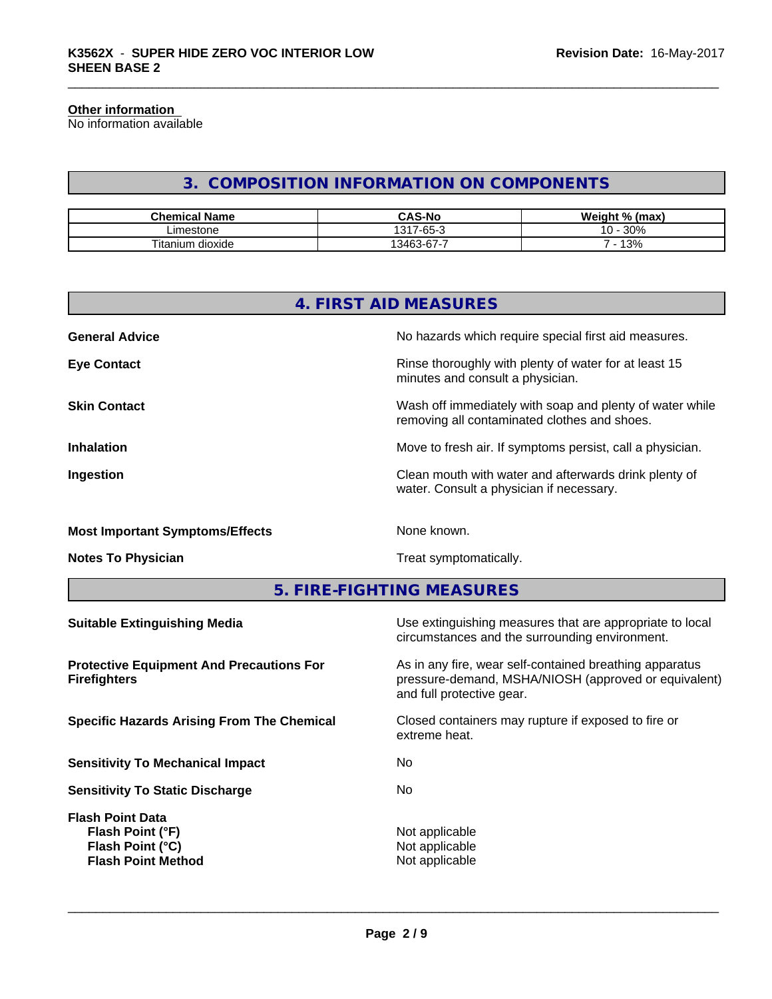#### **Other information**

No information available

# **3. COMPOSITION INFORMATION ON COMPONENTS**

| .<br>Name<br>Chemical       | <b>CAS-No</b>                  | Weio.<br>lmnv<br>шах                     |
|-----------------------------|--------------------------------|------------------------------------------|
| _imestone                   | $\sim$<br>1017<br>-65-         | 30%<br>$\overline{\phantom{a}}$<br>. U - |
| $- -$<br>dioxide<br>itanium | $\sim$ $\sim$<br>3463<br>33-D7 | 13%                                      |

|                                                                        | 4. FIRST AID MEASURES                                                                                                                        |
|------------------------------------------------------------------------|----------------------------------------------------------------------------------------------------------------------------------------------|
| <b>General Advice</b>                                                  | No hazards which require special first aid measures.                                                                                         |
| <b>Eye Contact</b>                                                     | Rinse thoroughly with plenty of water for at least 15<br>minutes and consult a physician.                                                    |
| <b>Skin Contact</b>                                                    | Wash off immediately with soap and plenty of water while<br>removing all contaminated clothes and shoes.                                     |
| <b>Inhalation</b>                                                      | Move to fresh air. If symptoms persist, call a physician.                                                                                    |
| Ingestion                                                              | Clean mouth with water and afterwards drink plenty of<br>water. Consult a physician if necessary.                                            |
| <b>Most Important Symptoms/Effects</b>                                 | None known.                                                                                                                                  |
| <b>Notes To Physician</b>                                              | Treat symptomatically.                                                                                                                       |
|                                                                        | 5. FIRE-FIGHTING MEASURES                                                                                                                    |
| <b>Suitable Extinguishing Media</b>                                    | Use extinguishing measures that are appropriate to local<br>circumstances and the surrounding environment.                                   |
| <b>Protective Equipment And Precautions For</b><br><b>Firefighters</b> | As in any fire, wear self-contained breathing apparatus<br>pressure-demand, MSHA/NIOSH (approved or equivalent)<br>and full protective gear. |

**Specific Hazards Arising From The Chemical Closed containers may rupture if exposed to fire or** 

**Flash Point (°F)**  $\qquad \qquad$  Not applicable **Flash Point (°C)**  $\qquad \qquad$  Not applicable

**Sensitivity To Mechanical Impact** No

**Sensitivity To Static Discharge** No

**Flash Point Method** Not applicable

**Flash Point Data**

extreme heat.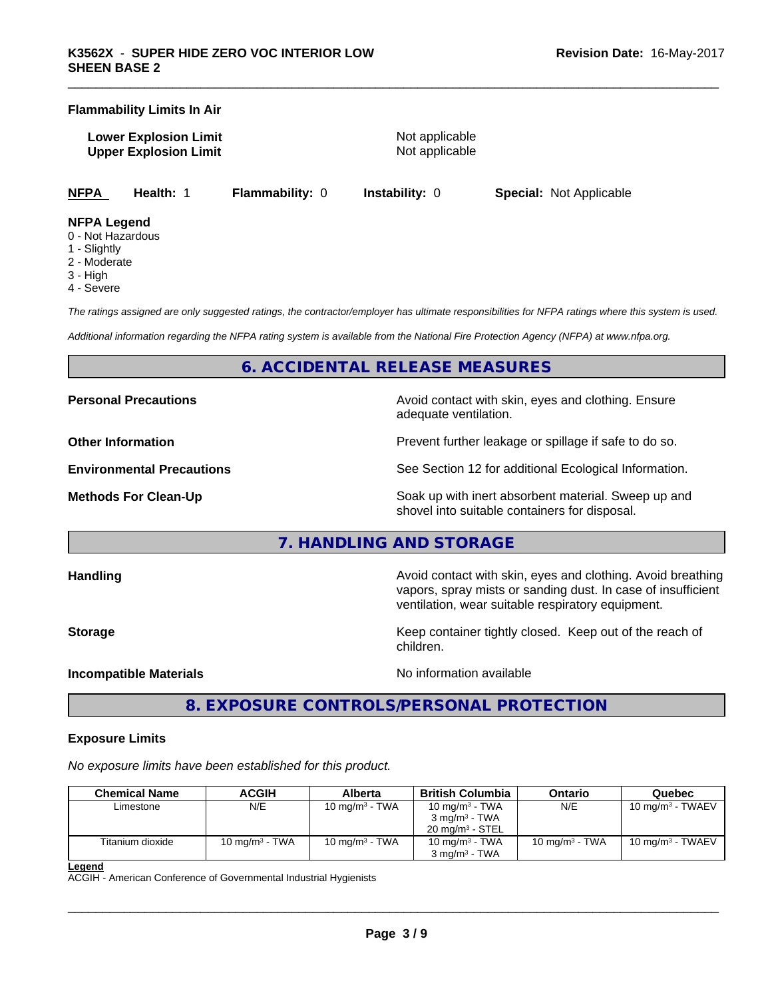#### **Flammability Limits In Air**

**Lower Explosion Limit** Not applicable **Upper Explosion Limit** Not applicable

**NFPA Health:** 1 **Flammability:** 0 **Instability:** 0 **Special:** Not Applicable

#### **NFPA Legend**

- 0 Not Hazardous
- 1 Slightly
- 2 Moderate
- 3 High
- 4 Severe

*The ratings assigned are only suggested ratings, the contractor/employer has ultimate responsibilities for NFPA ratings where this system is used.*

*Additional information regarding the NFPA rating system is available from the National Fire Protection Agency (NFPA) at www.nfpa.org.*

# **6. ACCIDENTAL RELEASE MEASURES**

**Personal Precautions Avoid contact with skin, eyes and clothing. Ensure** Avoid contact with skin, eyes and clothing. Ensure adequate ventilation.

**Other Information Discription Prevent further leakage or spillage if safe to do so.** 

**Environmental Precautions** See Section 12 for additional Ecological Information.

**Methods For Clean-Up Example 20 All 20 All 20 All 20 All 20 All 20 All 20 All 20 All 20 All 20 All 20 All 20 All 20 All 20 All 20 All 20 All 20 All 20 All 20 All 20 All 20 All 20 All 20 All 20 All 20 All 20 All 20 All 2** shovel into suitable containers for disposal.

### **7. HANDLING AND STORAGE**

**Handling Handling Avoid contact with skin, eyes and clothing. Avoid breathing** vapors, spray mists or sanding dust. In case of insufficient ventilation, wear suitable respiratory equipment.

**Storage** Storage **Keep container tightly closed.** Keep out of the reach of children.

**Incompatible Materials Incompatible Materials No information available** 

 $\overline{\phantom{a}}$  ,  $\overline{\phantom{a}}$  ,  $\overline{\phantom{a}}$  ,  $\overline{\phantom{a}}$  ,  $\overline{\phantom{a}}$  ,  $\overline{\phantom{a}}$  ,  $\overline{\phantom{a}}$  ,  $\overline{\phantom{a}}$  ,  $\overline{\phantom{a}}$  ,  $\overline{\phantom{a}}$  ,  $\overline{\phantom{a}}$  ,  $\overline{\phantom{a}}$  ,  $\overline{\phantom{a}}$  ,  $\overline{\phantom{a}}$  ,  $\overline{\phantom{a}}$  ,  $\overline{\phantom{a}}$ 

**8. EXPOSURE CONTROLS/PERSONAL PROTECTION**

#### **Exposure Limits**

*No exposure limits have been established for this product.*

| <b>Chemical Name</b> | <b>ACGIH</b>      | Alberta           | <b>British Columbia</b>    | Ontario           | Quebec              |
|----------------------|-------------------|-------------------|----------------------------|-------------------|---------------------|
| _imestone            | N/E               | 10 mg/m $3$ - TWA | 10 mg/m $3$ - TWA          | N/E               | 10 mg/m $3$ - TWAEV |
|                      |                   |                   | $3 \text{ ma/m}^3$ - TWA   |                   |                     |
|                      |                   |                   | $20 \text{ ma/m}^3$ - STEL |                   |                     |
| Titanium dioxide     | 10 mg/m $3$ - TWA | 10 mg/m $3$ - TWA | 10 mg/m $3$ - TWA          | 10 mg/m $3$ - TWA | 10 mg/m $3$ - TWAEV |
|                      |                   |                   | $3 \text{ mg/m}^3$ - TWA   |                   |                     |

**Legend**

ACGIH - American Conference of Governmental Industrial Hygienists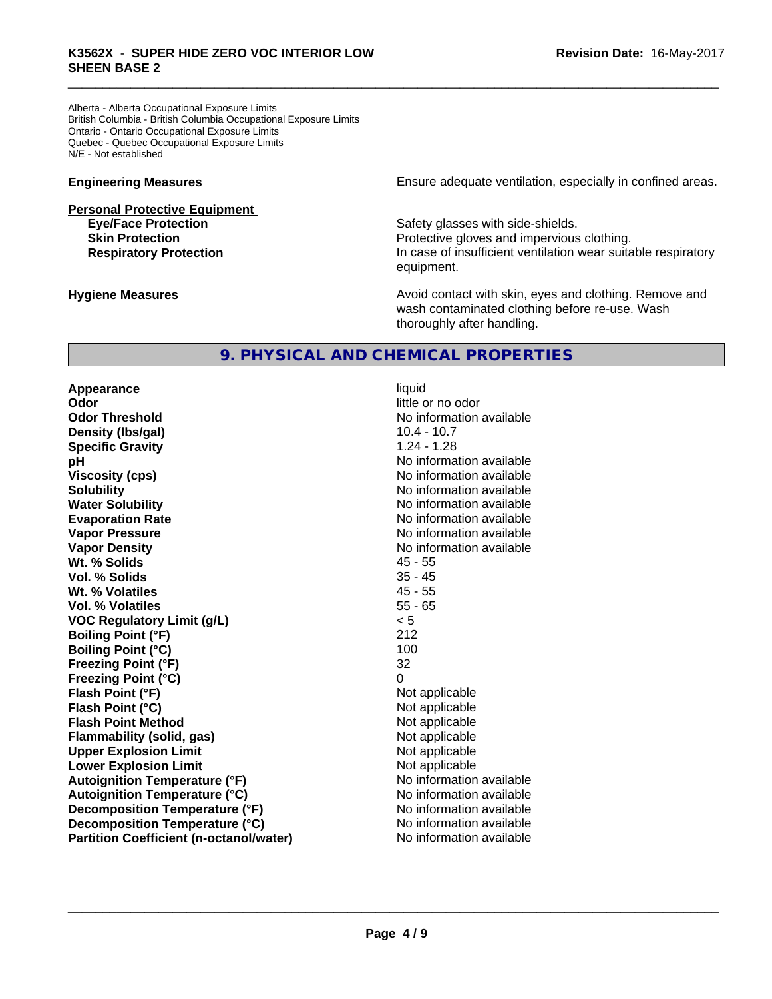Alberta - Alberta Occupational Exposure Limits British Columbia - British Columbia Occupational Exposure Limits Ontario - Ontario Occupational Exposure Limits Quebec - Quebec Occupational Exposure Limits N/E - Not established

# **Personal Protective Equipment**

**Engineering Measures Ensure** Ensure adequate ventilation, especially in confined areas.

**Eye/Face Protection Safety glasses with side-shields. Skin Protection Protective gloves and impervious clothing. Respiratory Protection In case of insufficient ventilation wear suitable respiratory** equipment.

**Hygiene Measures Avoid contact with skin, eyes and clothing. Remove and Avoid contact with skin, eyes and clothing. Remove and Avoid contact with skin, eyes and clothing. Remove and** wash contaminated clothing before re-use. Wash thoroughly after handling.

# **9. PHYSICAL AND CHEMICAL PROPERTIES**

**Appearance** liquid **Odor** little or no odor **Odor Threshold No information available No information available Density (lbs/gal)** 10.4 - 10.7<br> **Specific Gravity** 1.24 - 1.28 **Specific Gravity pH pH**  $\blacksquare$ **Viscosity (cps)** No information available in the Viscosity (cps) **Solubility No information available No information available Water Solubility Water Solubility No information available Evaporation Rate No information available No information available Vapor Pressure** No information available **Vapor Density Vapor Density No information available Wt. % Solids** 45 - 55 **Vol. % Solids** 35 - 45 **Wt. % Volatiles Vol. % Volatiles** 55 - 65 **VOC Regulatory Limit (g/L)** < 5 **Boiling Point (°F)** 212 **Boiling Point (°C)** 100 **Freezing Point (°F)** 32 **Freezing Point (°C)** 0 **Flash Point (°F)** Not applicable **Flash Point (°C)** Not applicable **Flash Point Method** Not applicable **Flammability (solid, gas)** Not applicable **Upper Explosion Limit** Not applicable **Lower Explosion Limit Contract Accord Accord Accord Accord Accord Accord Accord Accord Accord Accord Accord Accord Accord Accord Accord Accord Accord Accord Accord Accord Accord Accord Accord Accord Accord Accord Accord Autoignition Temperature (°F)** No information available **Autoignition Temperature (°C)** No information available **Decomposition Temperature (°F)** No information available **Decomposition Temperature (°C)** No information available **Partition Coefficient (n-octanol/water)** No information available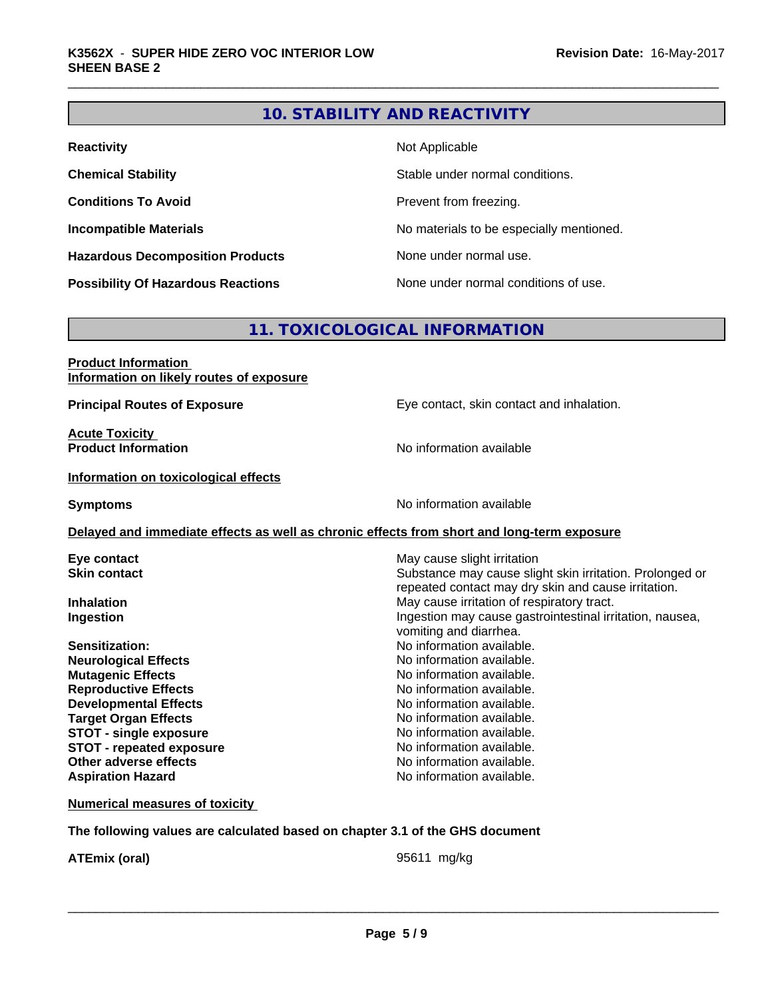# **10. STABILITY AND REACTIVITY**

| <b>Reactivity</b>                         | Not Applicable                           |  |
|-------------------------------------------|------------------------------------------|--|
| <b>Chemical Stability</b>                 | Stable under normal conditions.          |  |
| <b>Conditions To Avoid</b>                | Prevent from freezing.                   |  |
| <b>Incompatible Materials</b>             | No materials to be especially mentioned. |  |
| <b>Hazardous Decomposition Products</b>   | None under normal use.                   |  |
| <b>Possibility Of Hazardous Reactions</b> | None under normal conditions of use.     |  |

# **11. TOXICOLOGICAL INFORMATION**

# **Product Information Information on likely routes of exposure**

**Principal Routes of Exposure Exposure** Eye contact, skin contact and inhalation.

**Acute Toxicity** 

**Product Information Information No information available** 

**Information on toxicological effects**

**Symptoms** No information available

#### **Delayed and immediate effects as well as chronic effects from short and long-term exposure**

**Neurological Effects Mutagenic Effects Mutagenic Effects No information available. Reproductive Effects**<br> **Reproductive Effects**<br> **Developmental Effects**<br> **No information available. Developmental Effects Target Organ Effects No information available. STOT -** single exposure<br> **STOT -** repeated exposure<br>
No information available **STOT** - repeated exposure **Other adverse effects** No information available. **Aspiration Hazard Aspiration Hazard No information available.** 

**Eye contact Exercise Solution Exercise Solution May cause slight irritation Skin contact** Substance may cause slight skin irritation. Prolonged or repeated contact may dry skin and cause irritation. **Inhalation**<br> **Ingestion**<br> **Ingestion**<br> **Ingestion**<br> **Ingestion**<br> **Ingestion**<br> **Ingestion**<br> **Ingestion**<br> **Ingestion** Ingestion may cause gastrointestinal irritation, nausea, vomiting and diarrhea. **Sensitization:** No information available.<br>
No information available.<br>
No information available.

**Numerical measures of toxicity**

**The following values are calculated based on chapter 3.1 of the GHS document**

**ATEmix (oral)** 95611 mg/kg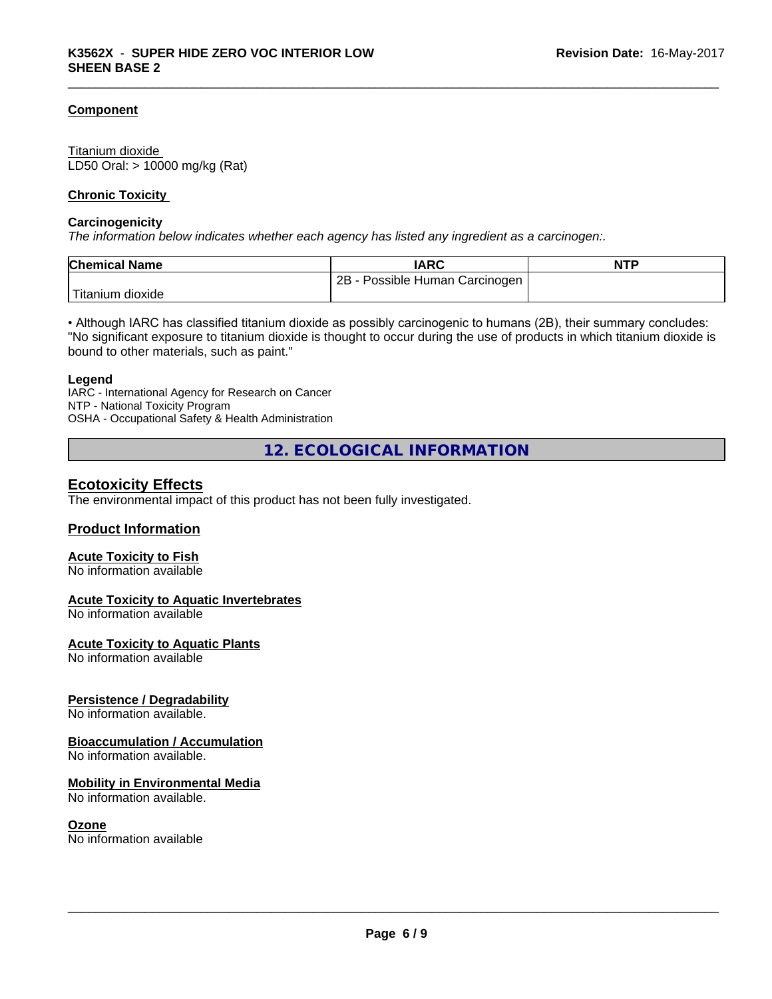#### **Component**

Titanium dioxide LD50 Oral: > 10000 mg/kg (Rat)

#### **Chronic Toxicity**

#### **Carcinogenicity**

*The information below indicateswhether each agency has listed any ingredient as a carcinogen:.*

| <b>Chemical Name</b>      | <b>IARC</b>                     | <b>NTP</b> |
|---------------------------|---------------------------------|------------|
|                           | 2B<br>Possible Human Carcinogen |            |
| ' Titanium ⊾<br>ı dioxide |                                 |            |

• Although IARC has classified titanium dioxide as possibly carcinogenic to humans (2B), their summary concludes: "No significant exposure to titanium dioxide is thought to occur during the use of products in which titanium dioxide is bound to other materials, such as paint."

#### **Legend**

IARC - International Agency for Research on Cancer NTP - National Toxicity Program OSHA - Occupational Safety & Health Administration

**12. ECOLOGICAL INFORMATION**

### **Ecotoxicity Effects**

The environmental impact of this product has not been fully investigated.

#### **Product Information**

#### **Acute Toxicity to Fish**

No information available

#### **Acute Toxicity to Aquatic Invertebrates**

No information available

#### **Acute Toxicity to Aquatic Plants**

No information available

#### **Persistence / Degradability**

No information available.

#### **Bioaccumulation / Accumulation**

No information available.

#### **Mobility in Environmental Media**

No information available.

#### **Ozone**

No information available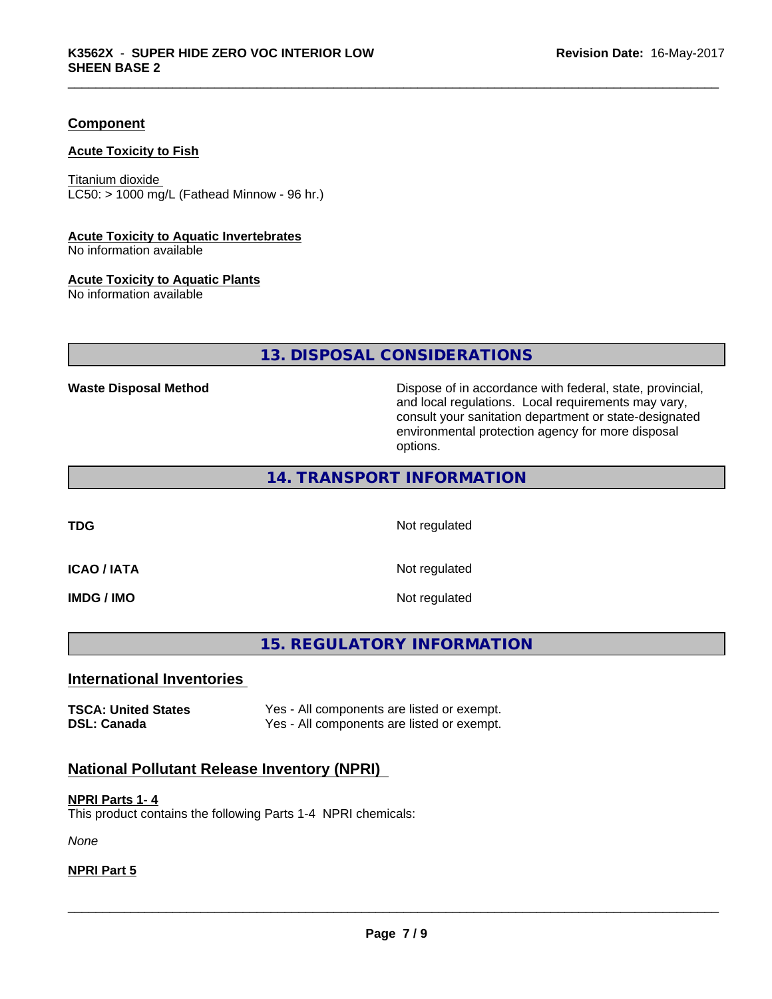#### **Component**

#### **Acute Toxicity to Fish**

Titanium dioxide  $LC50:$  > 1000 mg/L (Fathead Minnow - 96 hr.)

#### **Acute Toxicity to Aquatic Invertebrates**

No information available

#### **Acute Toxicity to Aquatic Plants**

No information available

# **13. DISPOSAL CONSIDERATIONS**

Waste Disposal Method **Dispose of in accordance with federal, state, provincial,** and local regulations. Local requirements may vary, consult your sanitation department or state-designated environmental protection agency for more disposal options.

### **14. TRANSPORT INFORMATION**

**TDG** Not regulated

**ICAO / IATA** Not regulated

**IMDG / IMO** Not regulated

# **15. REGULATORY INFORMATION**

#### **International Inventories**

**TSCA: United States** Yes - All components are listed or exempt. **DSL: Canada** Yes - All components are listed or exempt.

# **National Pollutant Release Inventory (NPRI)**

#### **NPRI Parts 1- 4**

This product contains the following Parts 1-4 NPRI chemicals:

*None*

#### **NPRI Part 5**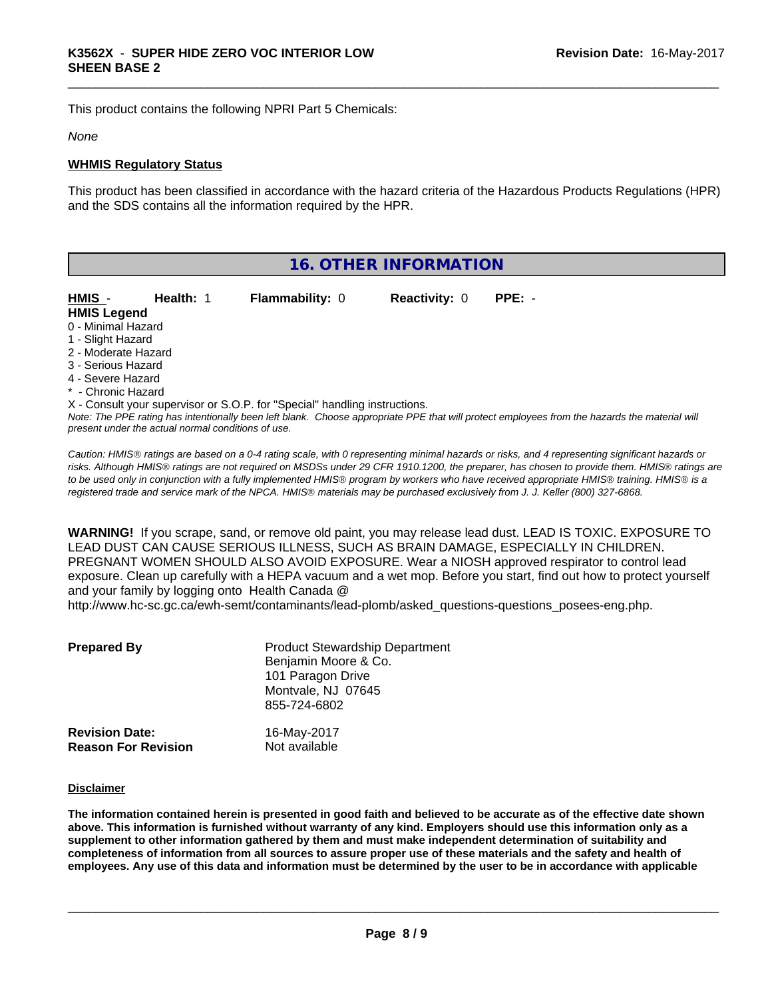This product contains the following NPRI Part 5 Chemicals:

#### *None*

#### **WHMIS Regulatory Status**

This product has been classified in accordance with the hazard criteria of the Hazardous Products Regulations (HPR) and the SDS contains all the information required by the HPR.

| <b>16. OTHER INFORMATION</b> |                                                    |                                                                            |                      |                                                                                                                                               |
|------------------------------|----------------------------------------------------|----------------------------------------------------------------------------|----------------------|-----------------------------------------------------------------------------------------------------------------------------------------------|
| HMIS -                       | Health: 1                                          | <b>Flammability: 0</b>                                                     | <b>Reactivity: 0</b> | $PPE: -$                                                                                                                                      |
| <b>HMIS Legend</b>           |                                                    |                                                                            |                      |                                                                                                                                               |
| 0 - Minimal Hazard           |                                                    |                                                                            |                      |                                                                                                                                               |
| 1 - Slight Hazard            |                                                    |                                                                            |                      |                                                                                                                                               |
| 2 - Moderate Hazard          |                                                    |                                                                            |                      |                                                                                                                                               |
| 3 - Serious Hazard           |                                                    |                                                                            |                      |                                                                                                                                               |
| 4 - Severe Hazard            |                                                    |                                                                            |                      |                                                                                                                                               |
| * - Chronic Hazard           |                                                    |                                                                            |                      |                                                                                                                                               |
|                              |                                                    | X - Consult your supervisor or S.O.P. for "Special" handling instructions. |                      |                                                                                                                                               |
|                              |                                                    |                                                                            |                      | Note: The PPE rating has intentionally been left blank. Choose appropriate PPE that will protect employees from the hazards the material will |
|                              | present under the actual normal conditions of use. |                                                                            |                      |                                                                                                                                               |

*Caution: HMISÒ ratings are based on a 0-4 rating scale, with 0 representing minimal hazards or risks, and 4 representing significant hazards or risks. Although HMISÒ ratings are not required on MSDSs under 29 CFR 1910.1200, the preparer, has chosen to provide them. HMISÒ ratings are to be used only in conjunction with a fully implemented HMISÒ program by workers who have received appropriate HMISÒ training. HMISÒ is a registered trade and service mark of the NPCA. HMISÒ materials may be purchased exclusively from J. J. Keller (800) 327-6868.*

**WARNING!** If you scrape, sand, or remove old paint, you may release lead dust. LEAD IS TOXIC. EXPOSURE TO LEAD DUST CAN CAUSE SERIOUS ILLNESS, SUCH AS BRAIN DAMAGE, ESPECIALLY IN CHILDREN. PREGNANT WOMEN SHOULD ALSO AVOID EXPOSURE.Wear a NIOSH approved respirator to control lead exposure. Clean up carefully with a HEPA vacuum and a wet mop. Before you start, find out how to protect yourself and your family by logging onto Health Canada @ http://www.hc-sc.gc.ca/ewh-semt/contaminants/lead-plomb/asked\_questions-questions\_posees-eng.php.

| <b>Prepared By</b>         | <b>Product Stewardship Department</b><br>Benjamin Moore & Co.<br>101 Paragon Drive<br>Montvale, NJ 07645<br>855-724-6802 |
|----------------------------|--------------------------------------------------------------------------------------------------------------------------|
| <b>Revision Date:</b>      | 16-May-2017                                                                                                              |
| <b>Reason For Revision</b> | Not available                                                                                                            |

#### **Disclaimer**

The information contained herein is presented in good faith and believed to be accurate as of the effective date shown above. This information is furnished without warranty of any kind. Employers should use this information only as a **supplement to other information gathered by them and must make independent determination of suitability and** completeness of information from all sources to assure proper use of these materials and the safety and health of employees. Any use of this data and information must be determined by the user to be in accordance with applicable